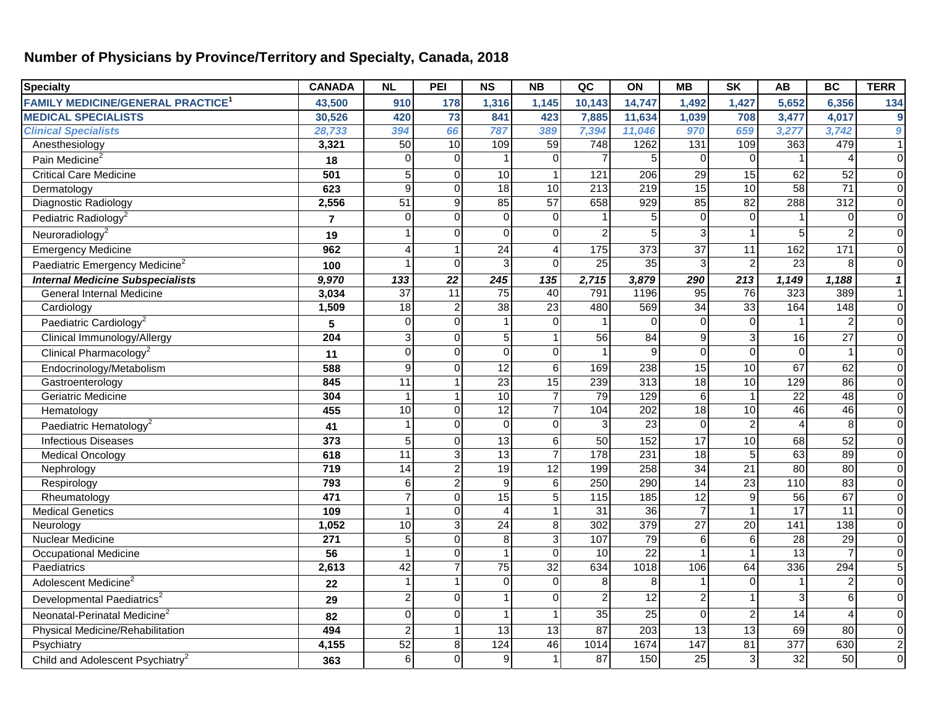## **Number of Physicians by Province/Territory and Specialty, Canada, 2018**

| <b>Specialty</b>                                    | <b>CANADA</b>    | <b>NL</b>       | PEI             | <b>NS</b>              | <b>NB</b>       | QC               | ON               | <b>MB</b>        | <b>SK</b>       | <b>AB</b>         | <b>BC</b>        | <b>TERR</b>         |
|-----------------------------------------------------|------------------|-----------------|-----------------|------------------------|-----------------|------------------|------------------|------------------|-----------------|-------------------|------------------|---------------------|
| <b>FAMILY MEDICINE/GENERAL PRACTICE<sup>1</sup></b> | 43,500           | 910             | 178             | 1,316                  | 1,145           | 10,143           | 14,747           | 1,492            | 1,427           | 5,652             | 6,356            | 134                 |
| <b>MEDICAL SPECIALISTS</b>                          | 30,526           | 420             | 73              | 841                    | 423             | 7,885            | 11,634           | 1,039            | 708             | 3,477             | 4,017            | 9                   |
| <b>Clinical Specialists</b>                         | 28,733           | 394             | 66              | 787                    | 389             | 7,394            | 11,046           | 970              | 659             | 3,277             | 3,742            | $\boldsymbol{9}$    |
| Anesthesiology                                      | 3,321            | 50              | 10              | 109                    | 59              | 748              | 1262             | $\overline{131}$ | 109             | 363               | 479              | $\mathbf{1}$        |
| Pain Medicine <sup>2</sup>                          | 18               | $\Omega$        | $\Omega$        |                        | $\Omega$        | $\overline{7}$   | 5                | $\Omega$         | $\Omega$        |                   |                  | $\overline{0}$      |
| <b>Critical Care Medicine</b>                       | 501              | 5               | $\Omega$        | 10                     |                 | 121              | 206              | $\overline{29}$  | 15              | 62                | 52               | $\mathbf 0$         |
| Dermatology                                         | 623              | $\mathbf{Q}$    | 0               | $\overline{18}$        | 10              | $\overline{213}$ | $\overline{219}$ | 15               | 10              | 58                | $\overline{71}$  | $\overline{0}$      |
| Diagnostic Radiology                                | 2,556            | 51              | 9               | 85                     | $\overline{57}$ | 658              | $\overline{929}$ | 85               | 82              | 288               | $\overline{312}$ | $\mathbf 0$         |
| Pediatric Radiology <sup>2</sup>                    | $\overline{7}$   | $\Omega$        | 0               | $\Omega$               | $\Omega$        |                  | 5                | $\Omega$         | $\Omega$        |                   | $\Omega$         | $\mathbf 0$         |
| Neuroradiology <sup>2</sup>                         | 19               |                 | 0               | $\mathbf 0$            | $\Omega$        | $\overline{c}$   | 5                |                  |                 | 5                 |                  | $\mathbf 0$         |
| <b>Emergency Medicine</b>                           | 962              | Δ               |                 | $\overline{24}$        |                 | $\frac{1}{175}$  | $\overline{373}$ | 37               | $\overline{11}$ | 162               | 171              | $\mathbf 0$         |
| Paediatric Emergency Medicine <sup>2</sup>          | 100              |                 | $\Omega$        | 3                      | $\Omega$        | 25               | 35               | 3                | $\overline{2}$  | 23                | 8                | $\overline{0}$      |
| <b>Internal Medicine Subspecialists</b>             | 9,970            | 133             | 22              | 245                    | 135             | 2,715            | 3,879            | 290              | 213             | 1,149             | 1,188            | $\pmb{\mathcal{I}}$ |
| General Internal Medicine                           | 3,034            | 37              | $\overline{11}$ | 75                     | 40              | 791              | 1196             | 95               | 76              | 323               | 389              | $\mathbf{1}$        |
| Cardiology                                          | 1,509            | 18              | $\overline{2}$  | $\overline{38}$        | $\overline{23}$ | 480              | 569              | $\overline{34}$  | 33              | 164               | $\overline{148}$ | $\mathbf 0$         |
| Paediatric Cardiology <sup>2</sup>                  | 5                | $\Omega$        | 0               |                        | $\Omega$        |                  | $\Omega$         | $\Omega$         | $\Omega$        |                   |                  | $\mathbf 0$         |
| Clinical Immunology/Allergy                         | 204              | 3               | $\Omega$        | 5                      |                 | 56               | $\overline{84}$  | q                | $\mathbf{3}$    | 16                | $\overline{27}$  | $\mathbf 0$         |
| Clinical Pharmacology <sup>2</sup>                  | 11               | $\Omega$        | $\Omega$        | $\Omega$               | $\Omega$        |                  | 9                | $\Omega$         | $\Omega$        | $\Omega$          |                  | $\mathbf 0$         |
| Endocrinology/Metabolism                            | 588              | 9               | 0               | $\overline{12}$        | 6               | 169              | 238              | 15               | 10              | 67                | 62               | $\mathbf 0$         |
| Gastroenterology                                    | 845              | $\overline{11}$ |                 | $\overline{23}$        | $\overline{15}$ | 239              | 313              | 18               | 10              | 129               | $\overline{86}$  | $\overline{0}$      |
| <b>Geriatric Medicine</b>                           | 304              |                 |                 | 10                     | $\overline{7}$  | 79               | 129              | 6                |                 | $\overline{22}$   | $\overline{48}$  | $\overline{0}$      |
| Hematology                                          | 455              | 10              | $\Omega$        | 12                     |                 | 104              | 202              | $\overline{18}$  | 10              | 46                | 46               | $\mathbf 0$         |
| Paediatric Hematology <sup>2</sup>                  | 41               |                 | $\Omega$        | $\mathbf 0$            | $\Omega$        | $\overline{3}$   | $\overline{23}$  | $\Omega$         | $\overline{2}$  | $\overline{4}$    | 8                | $\mathbf 0$         |
| <b>Infectious Diseases</b>                          | 373              | 5               | $\Omega$        | $\overline{13}$        | 6               | 50               | $\overline{152}$ | $\overline{17}$  | 10              | 68                | $\overline{52}$  | $\mathbf 0$         |
| <b>Medical Oncology</b>                             | 618              | 11              | 3               | $\overline{13}$        |                 | 178              | 231              | $\overline{18}$  | 5               | 63                | 89               | $\mathbf 0$         |
| Nephrology                                          | 719              | 14              | $\overline{2}$  | $\overline{19}$        | 12              | 199              | 258              | $\overline{34}$  | 21              | 80                | $\overline{80}$  | $\mathbf 0$         |
| Respirology                                         | 793              | 6               | $\overline{2}$  | $\overline{9}$         | $6 \mid$        | 250              | 290              | $\overline{14}$  | $\overline{23}$ | $\frac{110}{110}$ | $\overline{83}$  | $\overline{0}$      |
| Rheumatology                                        | 471              |                 | $\Omega$        | $\overline{15}$        |                 | 115              | $\frac{1}{185}$  | $\overline{12}$  | $\overline{9}$  | 56                | 67               | $\mathbf 0$         |
| <b>Medical Genetics</b>                             | 109              | -1              | $\Omega$        | $\boldsymbol{\Lambda}$ |                 | $\overline{31}$  | 36               |                  |                 | 17                | 11               | $\mathbf 0$         |
| Neurology                                           | 1,052            | 10              | $\overline{3}$  | 24                     | 8               | 302              | 379              | 27               | 20              | 141               | 138              | $\overline{0}$      |
| <b>Nuclear Medicine</b>                             | $\overline{271}$ | 5               | $\Omega$        | 8                      | 3               | 107              | 79               | 6                | 6               | $\overline{28}$   | $\overline{29}$  | $\overline{0}$      |
| <b>Occupational Medicine</b>                        | 56               |                 | 0               | $\overline{1}$         | $\Omega$        | 10               | $\overline{22}$  |                  |                 | $\overline{13}$   |                  | $\overline{0}$      |
| Paediatrics                                         | 2,613            | $\overline{42}$ |                 | $\overline{75}$        | $\overline{32}$ | 634              | 1018             | 106              | 64              | 336               | 294              | 5                   |
| Adolescent Medicine <sup>2</sup>                    | 22               |                 |                 | $\Omega$               | $\Omega$        | 8                | 8                |                  | $\Omega$        | -1                | $\overline{2}$   | $\mathbf 0$         |
| Developmental Paediatrics <sup>2</sup>              | 29               | $\mathcal{P}$   | $\Omega$        |                        | $\Omega$        | $\overline{2}$   | 12               |                  |                 | $\overline{3}$    | 6                | $\mathbf 0$         |
| Neonatal-Perinatal Medicine <sup>2</sup>            | 82               | $\Omega$        | $\overline{0}$  |                        |                 | 35               | $\overline{25}$  | $\Omega$         | $\overline{2}$  | $\overline{14}$   | 4                | $\mathbf 0$         |
| Physical Medicine/Rehabilitation                    | 494              | $\mathfrak{p}$  |                 | 13                     | 13              | 87               | 203              | 13               | 13              | 69                | 80               | $\mathbf 0$         |
| Psychiatry                                          | 4,155            | 52              | 8 <sup>°</sup>  | 124                    | 46              | 1014             | 1674             | 147              | 81              | 377               | 630              | $\overline{c}$      |
| Child and Adolescent Psychiatry <sup>2</sup>        | 363              | 6               | $\Omega$        | 9                      |                 | 87               | 150              | $\overline{25}$  | 3               | 32                | 50               | $\Omega$            |